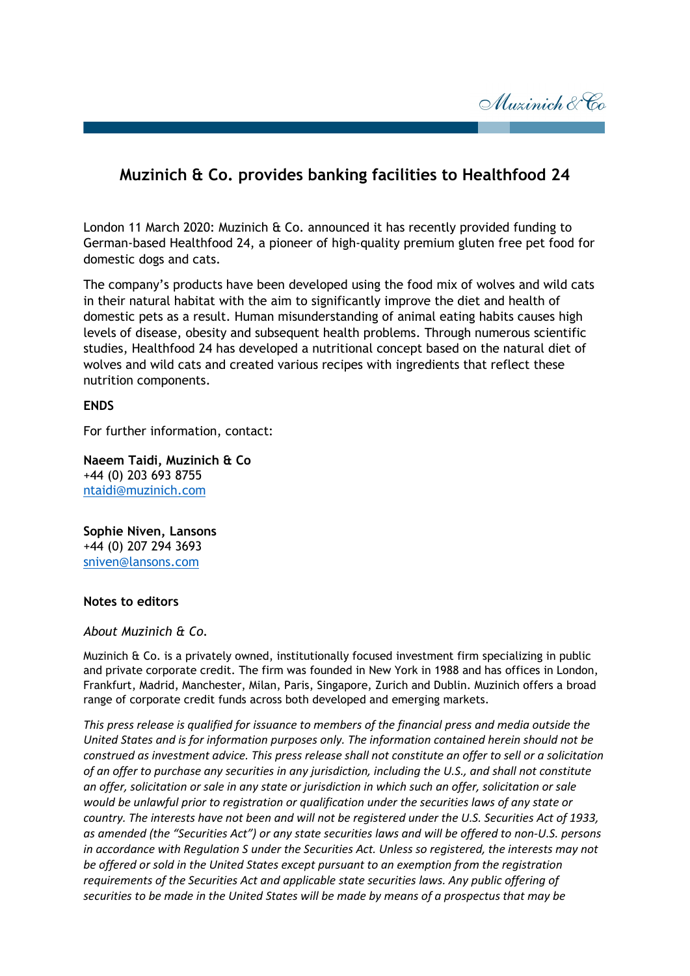Muzinich & Co

## **Muzinich & Co. provides banking facilities to Healthfood 24**

London 11 March 2020: Muzinich & Co. announced it has recently provided funding to German-based Healthfood 24, a pioneer of high-quality premium gluten free pet food for domestic dogs and cats.

The company's products have been developed using the food mix of wolves and wild cats in their natural habitat with the aim to significantly improve the diet and health of domestic pets as a result. Human misunderstanding of animal eating habits causes high levels of disease, obesity and subsequent health problems. Through numerous scientific studies, Healthfood 24 has developed a nutritional concept based on the natural diet of wolves and wild cats and created various recipes with ingredients that reflect these nutrition components.

## **ENDS**

For further information, contact:

**Naeem Taidi, Muzinich & Co** +44 (0) 203 693 8755 ntaidi@muzinich.com

**Sophie Niven, Lansons** +44 (0) 207 294 3693 [sniven@lansons.com](mailto:sniven@lansons.com)

## **Notes to editors**

## *About Muzinich & Co.*

Muzinich & Co. is a privately owned, institutionally focused investment firm specializing in public and private corporate credit. The firm was founded in New York in 1988 and has offices in London, Frankfurt, Madrid, Manchester, Milan, Paris, Singapore, Zurich and Dublin. Muzinich offers a broad range of corporate credit funds across both developed and emerging markets.

*This press release is qualified for issuance to members of the financial press and media outside the United States and is for information purposes only. The information contained herein should not be construed as investment advice. This press release shall not constitute an offer to sell or a solicitation of an offer to purchase any securities in any jurisdiction, including the U.S., and shall not constitute an offer, solicitation or sale in any state or jurisdiction in which such an offer, solicitation or sale would be unlawful prior to registration or qualification under the securities laws of any state or country. The interests have not been and will not be registered under the U.S. Securities Act of 1933, as amended (the "Securities Act") or any state securities laws and will be offered to non-U.S. persons in accordance with Regulation S under the Securities Act. Unless so registered, the interests may not be offered or sold in the United States except pursuant to an exemption from the registration requirements of the Securities Act and applicable state securities laws. Any public offering of securities to be made in the United States will be made by means of a prospectus that may be*